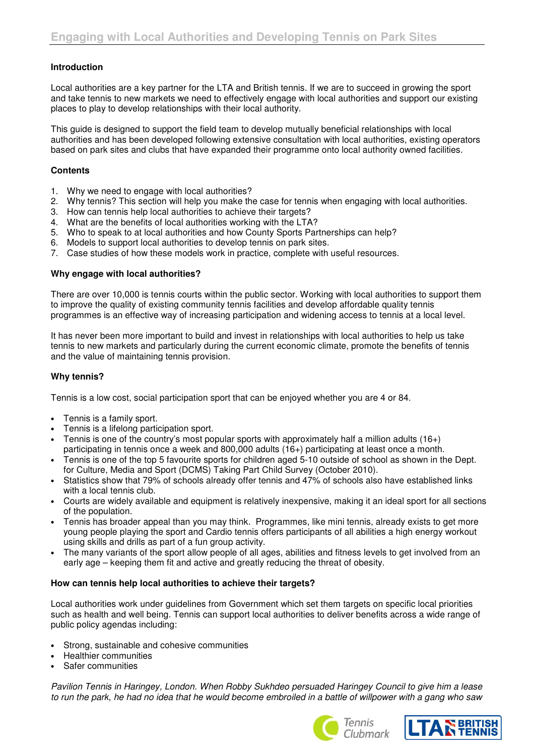### **Introduction**

Local authorities are a key partner for the LTA and British tennis. If we are to succeed in growing the sport and take tennis to new markets we need to effectively engage with local authorities and support our existing places to play to develop relationships with their local authority.

This guide is designed to support the field team to develop mutually beneficial relationships with local authorities and has been developed following extensive consultation with local authorities, existing operators based on park sites and clubs that have expanded their programme onto local authority owned facilities.

### **Contents**

- 1. Why we need to engage with local authorities?
- 2. Why tennis? This section will help you make the case for tennis when engaging with local authorities.
- 3. How can tennis help local authorities to achieve their targets?
- 4. What are the benefits of local authorities working with the LTA?
- 5. Who to speak to at local authorities and how County Sports Partnerships can help?
- 6. Models to support local authorities to develop tennis on park sites.
- 7. Case studies of how these models work in practice, complete with useful resources.

#### **Why engage with local authorities?**

There are over 10,000 is tennis courts within the public sector. Working with local authorities to support them to improve the quality of existing community tennis facilities and develop affordable quality tennis programmes is an effective way of increasing participation and widening access to tennis at a local level.

It has never been more important to build and invest in relationships with local authorities to help us take tennis to new markets and particularly during the current economic climate, promote the benefits of tennis and the value of maintaining tennis provision.

### **Why tennis?**

Tennis is a low cost, social participation sport that can be enjoyed whether you are 4 or 84.

- Tennis is a family sport.
- Tennis is a lifelong participation sport.
- Tennis is one of the country's most popular sports with approximately half a million adults  $(16+)$ participating in tennis once a week and 800,000 adults (16+) participating at least once a month.
- Tennis is one of the top 5 favourite sports for children aged 5-10 outside of school as shown in the Dept. for Culture, Media and Sport (DCMS) Taking Part Child Survey (October 2010).
- Statistics show that 79% of schools already offer tennis and 47% of schools also have established links with a local tennis club.
- Courts are widely available and equipment is relatively inexpensive, making it an ideal sport for all sections of the population.
- Tennis has broader appeal than you may think. Programmes, like mini tennis, already exists to get more young people playing the sport and Cardio tennis offers participants of all abilities a high energy workout using skills and drills as part of a fun group activity.
- The many variants of the sport allow people of all ages, abilities and fitness levels to get involved from an early age – keeping them fit and active and greatly reducing the threat of obesity.

### **How can tennis help local authorities to achieve their targets?**

Local authorities work under guidelines from Government which set them targets on specific local priorities such as health and well being. Tennis can support local authorities to deliver benefits across a wide range of public policy agendas including:

- Strong, sustainable and cohesive communities
- Healthier communities
- Safer communities

Pavilion Tennis in Haringey, London. When Robby Sukhdeo persuaded Haringey Council to give him a lease to run the park, he had no idea that he would become embroiled in a battle of willpower with a gang who saw



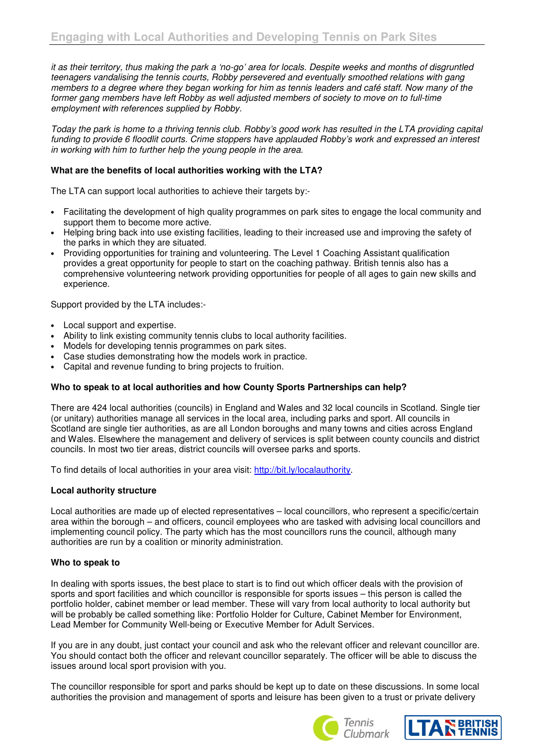it as their territory, thus making the park a 'no-go' area for locals. Despite weeks and months of disgruntled teenagers vandalising the tennis courts, Robby persevered and eventually smoothed relations with gang members to a degree where they began working for him as tennis leaders and café staff. Now many of the former gang members have left Robby as well adjusted members of society to move on to full-time employment with references supplied by Robby.

Today the park is home to a thriving tennis club. Robby's good work has resulted in the LTA providing capital funding to provide 6 floodlit courts. Crime stoppers have applauded Robby's work and expressed an interest in working with him to further help the young people in the area.

# **What are the benefits of local authorities working with the LTA?**

The LTA can support local authorities to achieve their targets by:-

- Facilitating the development of high quality programmes on park sites to engage the local community and support them to become more active.
- Helping bring back into use existing facilities, leading to their increased use and improving the safety of the parks in which they are situated.
- Providing opportunities for training and volunteering. The Level 1 Coaching Assistant qualification provides a great opportunity for people to start on the coaching pathway. British tennis also has a comprehensive volunteering network providing opportunities for people of all ages to gain new skills and experience.

Support provided by the LTA includes:-

- Local support and expertise.
- Ability to link existing community tennis clubs to local authority facilities.
- Models for developing tennis programmes on park sites.
- Case studies demonstrating how the models work in practice.
- Capital and revenue funding to bring projects to fruition.

### **Who to speak to at local authorities and how County Sports Partnerships can help?**

There are 424 local authorities (councils) in England and Wales and 32 local councils in Scotland. Single tier (or unitary) authorities manage all services in the local area, including parks and sport. All councils in Scotland are single tier authorities, as are all London boroughs and many towns and cities across England and Wales. Elsewhere the management and delivery of services is split between county councils and district councils. In most two tier areas, district councils will oversee parks and sports.

To find details of local authorities in your area visit: http://bit.ly/localauthority.

### **Local authority structure**

Local authorities are made up of elected representatives – local councillors, who represent a specific/certain area within the borough – and officers, council employees who are tasked with advising local councillors and implementing council policy. The party which has the most councillors runs the council, although many authorities are run by a coalition or minority administration.

### **Who to speak to**

In dealing with sports issues, the best place to start is to find out which officer deals with the provision of sports and sport facilities and which councillor is responsible for sports issues – this person is called the portfolio holder, cabinet member or lead member. These will vary from local authority to local authority but will be probably be called something like: Portfolio Holder for Culture, Cabinet Member for Environment, Lead Member for Community Well-being or Executive Member for Adult Services.

If you are in any doubt, just contact your council and ask who the relevant officer and relevant councillor are. You should contact both the officer and relevant councillor separately. The officer will be able to discuss the issues around local sport provision with you.

The councillor responsible for sport and parks should be kept up to date on these discussions. In some local authorities the provision and management of sports and leisure has been given to a trust or private delivery



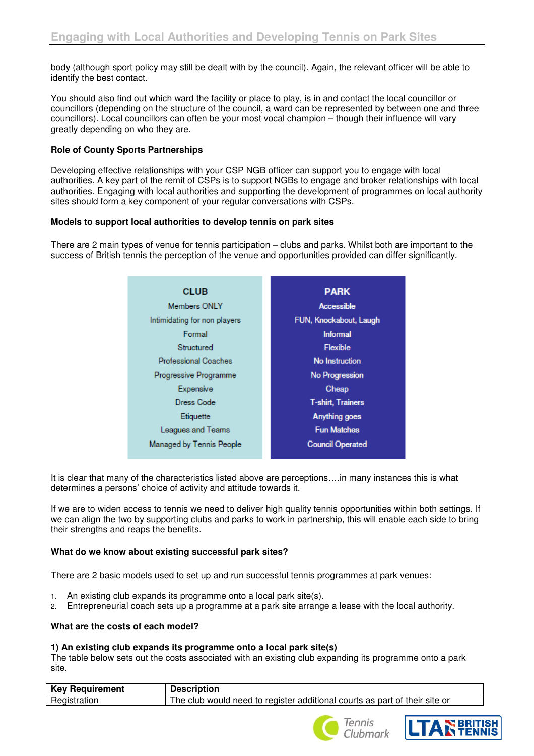body (although sport policy may still be dealt with by the council). Again, the relevant officer will be able to identify the best contact.

You should also find out which ward the facility or place to play, is in and contact the local councillor or councillors (depending on the structure of the council, a ward can be represented by between one and three councillors). Local councillors can often be your most vocal champion – though their influence will vary greatly depending on who they are.

# **Role of County Sports Partnerships**

Developing effective relationships with your CSP NGB officer can support you to engage with local authorities. A key part of the remit of CSPs is to support NGBs to engage and broker relationships with local authorities. Engaging with local authorities and supporting the development of programmes on local authority sites should form a key component of your regular conversations with CSPs.

#### **Models to support local authorities to develop tennis on park sites**

There are 2 main types of venue for tennis participation – clubs and parks. Whilst both are important to the success of British tennis the perception of the venue and opportunities provided can differ significantly.

| <b>CLUB</b>                  | <b>PARK</b>              |
|------------------------------|--------------------------|
| Members ONLY                 | Accessible               |
| Intimidating for non players | FUN, Knockabout, Laugh   |
| Formal                       | <b>Informal</b>          |
| Structured                   | <b>Flexible</b>          |
| <b>Professional Coaches</b>  | No Instruction           |
| Progressive Programme        | No Progression           |
| Expensive                    | Cheap                    |
| Dress Code                   | <b>T-shirt, Trainers</b> |
| Etiquette                    | Anything goes            |
| Leagues and Teams            | <b>Fun Matches</b>       |
| Managed by Tennis People     | <b>Council Operated</b>  |

It is clear that many of the characteristics listed above are perceptions….in many instances this is what determines a persons' choice of activity and attitude towards it.

If we are to widen access to tennis we need to deliver high quality tennis opportunities within both settings. If we can align the two by supporting clubs and parks to work in partnership, this will enable each side to bring their strengths and reaps the benefits.

### **What do we know about existing successful park sites?**

There are 2 basic models used to set up and run successful tennis programmes at park venues:

- 1. An existing club expands its programme onto a local park site(s).
- 2. Entrepreneurial coach sets up a programme at a park site arrange a lease with the local authority.

### **What are the costs of each model?**

### **1) An existing club expands its programme onto a local park site(s)**

The table below sets out the costs associated with an existing club expanding its programme onto a park site.

| <b>Key Requirement</b> | <b>Description</b>                                                         |
|------------------------|----------------------------------------------------------------------------|
| Registration           | The club would need to register additional courts as part of their site or |



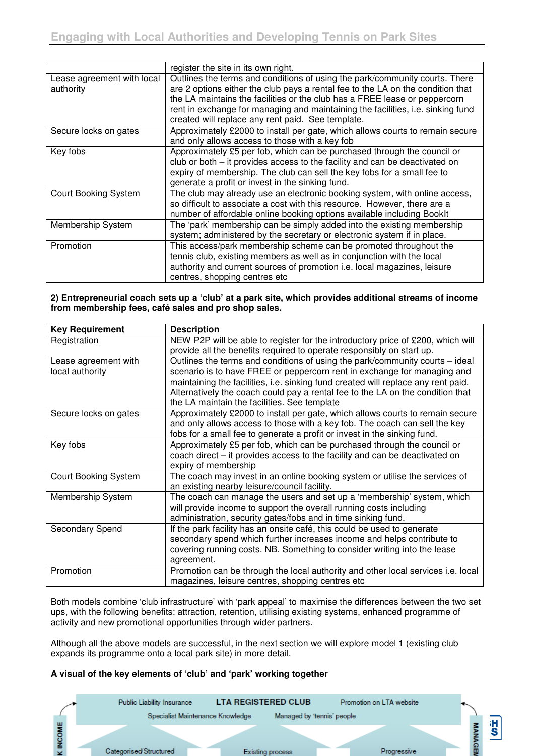|                             | register the site in its own right.                                             |  |  |  |
|-----------------------------|---------------------------------------------------------------------------------|--|--|--|
| Lease agreement with local  | Outlines the terms and conditions of using the park/community courts. There     |  |  |  |
| authority                   | are 2 options either the club pays a rental fee to the LA on the condition that |  |  |  |
|                             | the LA maintains the facilities or the club has a FREE lease or peppercorn      |  |  |  |
|                             | rent in exchange for managing and maintaining the facilities, i.e. sinking fund |  |  |  |
|                             | created will replace any rent paid. See template.                               |  |  |  |
| Secure locks on gates       | Approximately £2000 to install per gate, which allows courts to remain secure   |  |  |  |
|                             | and only allows access to those with a key fob                                  |  |  |  |
| Key fobs                    | Approximately £5 per fob, which can be purchased through the council or         |  |  |  |
|                             | $club$ or both $-$ it provides access to the facility and can be deactivated on |  |  |  |
|                             | expiry of membership. The club can sell the key fobs for a small fee to         |  |  |  |
|                             | generate a profit or invest in the sinking fund.                                |  |  |  |
| <b>Court Booking System</b> | The club may already use an electronic booking system, with online access,      |  |  |  |
|                             | so difficult to associate a cost with this resource. However, there are a       |  |  |  |
|                             | number of affordable online booking options available including BookIt          |  |  |  |
| Membership System           | The 'park' membership can be simply added into the existing membership          |  |  |  |
|                             | system; administered by the secretary or electronic system if in place.         |  |  |  |
| Promotion                   | This access/park membership scheme can be promoted throughout the               |  |  |  |
|                             | tennis club, existing members as well as in conjunction with the local          |  |  |  |
|                             | authority and current sources of promotion i.e. local magazines, leisure        |  |  |  |
|                             | centres, shopping centres etc                                                   |  |  |  |

#### **2) Entrepreneurial coach sets up a 'club' at a park site, which provides additional streams of income from membership fees, café sales and pro shop sales.**

| <b>Key Requirement</b>      | <b>Description</b>                                                                                                                                     |
|-----------------------------|--------------------------------------------------------------------------------------------------------------------------------------------------------|
| Registration                | NEW P2P will be able to register for the introductory price of £200, which will                                                                        |
|                             | provide all the benefits required to operate responsibly on start up.                                                                                  |
| Lease agreement with        | Outlines the terms and conditions of using the park/community courts – ideal                                                                           |
| local authority             | scenario is to have FREE or peppercorn rent in exchange for managing and                                                                               |
|                             | maintaining the facilities, i.e. sinking fund created will replace any rent paid.                                                                      |
|                             | Alternatively the coach could pay a rental fee to the LA on the condition that                                                                         |
|                             | the LA maintain the facilities. See template                                                                                                           |
| Secure locks on gates       | Approximately £2000 to install per gate, which allows courts to remain secure                                                                          |
|                             | and only allows access to those with a key fob. The coach can sell the key                                                                             |
|                             | fobs for a small fee to generate a profit or invest in the sinking fund.                                                                               |
| Key fobs                    | Approximately £5 per fob, which can be purchased through the council or<br>coach direct – it provides access to the facility and can be deactivated on |
|                             | expiry of membership                                                                                                                                   |
| <b>Court Booking System</b> | The coach may invest in an online booking system or utilise the services of                                                                            |
|                             | an existing nearby leisure/council facility.                                                                                                           |
| Membership System           | The coach can manage the users and set up a 'membership' system, which                                                                                 |
|                             | will provide income to support the overall running costs including                                                                                     |
|                             | administration, security gates/fobs and in time sinking fund.                                                                                          |
| Secondary Spend             | If the park facility has an onsite café, this could be used to generate                                                                                |
|                             | secondary spend which further increases income and helps contribute to                                                                                 |
|                             | covering running costs. NB. Something to consider writing into the lease                                                                               |
|                             | agreement.                                                                                                                                             |
| Promotion                   | Promotion can be through the local authority and other local services i.e. local                                                                       |
|                             | magazines, leisure centres, shopping centres etc                                                                                                       |

Both models combine 'club infrastructure' with 'park appeal' to maximise the differences between the two set ups, with the following benefits: attraction, retention, utilising existing systems, enhanced programme of activity and new promotional opportunities through wider partners.

Although all the above models are successful, in the next section we will explore model 1 (existing club expands its programme onto a local park site) in more detail.

# **A visual of the key elements of 'club' and 'park' working together**

| Public Liability Insurance       | <b>LTA REGISTERED CLUB</b> | Promotion on LTA website |  |
|----------------------------------|----------------------------|--------------------------|--|
| Specialist Maintenance Knowledge | Managed by 'tennis' people |                          |  |
|                                  |                            |                          |  |
| Categorised/Structured           | Existing process           | Progressive              |  |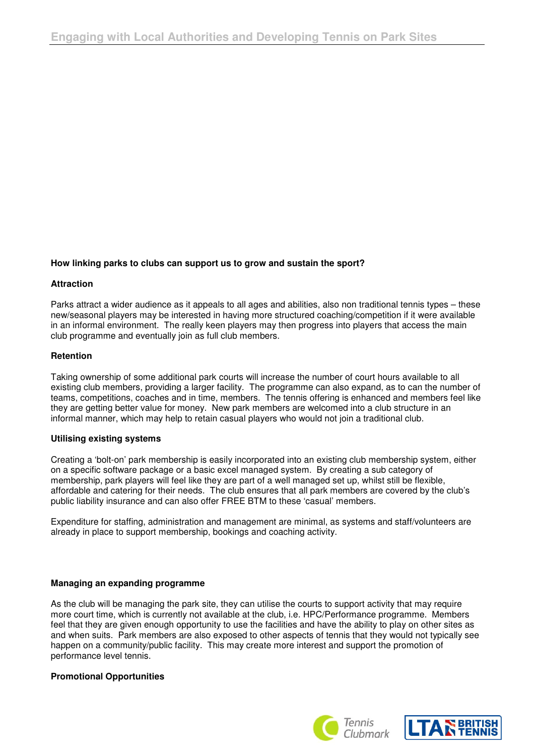# **How linking parks to clubs can support us to grow and sustain the sport?**

#### **Attraction**

Parks attract a wider audience as it appeals to all ages and abilities, also non traditional tennis types – these new/seasonal players may be interested in having more structured coaching/competition if it were available in an informal environment. The really keen players may then progress into players that access the main club programme and eventually join as full club members.

### **Retention**

Taking ownership of some additional park courts will increase the number of court hours available to all existing club members, providing a larger facility. The programme can also expand, as to can the number of teams, competitions, coaches and in time, members. The tennis offering is enhanced and members feel like they are getting better value for money. New park members are welcomed into a club structure in an informal manner, which may help to retain casual players who would not join a traditional club.

#### **Utilising existing systems**

Creating a 'bolt-on' park membership is easily incorporated into an existing club membership system, either on a specific software package or a basic excel managed system. By creating a sub category of membership, park players will feel like they are part of a well managed set up, whilst still be flexible, affordable and catering for their needs. The club ensures that all park members are covered by the club's public liability insurance and can also offer FREE BTM to these 'casual' members.

Expenditure for staffing, administration and management are minimal, as systems and staff/volunteers are already in place to support membership, bookings and coaching activity.

### **Managing an expanding programme**

As the club will be managing the park site, they can utilise the courts to support activity that may require more court time, which is currently not available at the club, i.e. HPC/Performance programme. Members feel that they are given enough opportunity to use the facilities and have the ability to play on other sites as and when suits. Park members are also exposed to other aspects of tennis that they would not typically see happen on a community/public facility. This may create more interest and support the promotion of performance level tennis.

### **Promotional Opportunities**